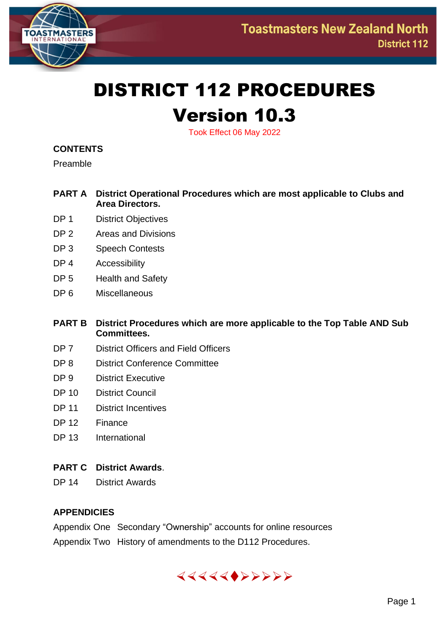

# DISTRICT 112 PROCEDURES Version 10.3

Took Effect 06 May 2022

#### **CONTENTS**

Preamble

- **PART A District Operational Procedures which are most applicable to Clubs and Area Directors.**
- DP 1 District Objectives
- DP 2 Areas and Divisions
- DP 3 Speech Contests
- DP 4 Accessibility
- DP 5 Health and Safety
- DP 6 Miscellaneous
- **PART B District Procedures which are more applicable to the Top Table AND Sub Committees.**
- DP 7 District Officers and Field Officers
- DP 8 District Conference Committee
- DP 9 District Executive
- DP 10 District Council
- DP 11 District Incentives
- DP 12 Finance
- DP 13 International

#### **PART C District Awards**.

DP 14 District Awards

#### **APPENDICIES**

Appendix One Secondary "Ownership" accounts for online resources Appendix Two History of amendments to the D112 Procedures.

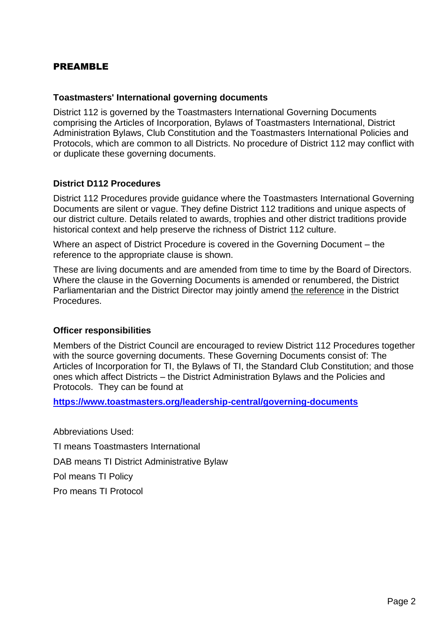#### PREAMBLE

#### **Toastmasters' International governing documents**

District 112 is governed by the Toastmasters International Governing Documents comprising the Articles of Incorporation, Bylaws of Toastmasters International, District Administration Bylaws, Club Constitution and the Toastmasters International Policies and Protocols, which are common to all Districts. No procedure of District 112 may conflict with or duplicate these governing documents.

#### **District D112 Procedures**

District 112 Procedures provide guidance where the Toastmasters International Governing Documents are silent or vague. They define District 112 traditions and unique aspects of our district culture. Details related to awards, trophies and other district traditions provide historical context and help preserve the richness of District 112 culture.

Where an aspect of District Procedure is covered in the Governing Document – the reference to the appropriate clause is shown.

These are living documents and are amended from time to time by the Board of Directors. Where the clause in the Governing Documents is amended or renumbered, the District Parliamentarian and the District Director may jointly amend the reference in the District Procedures.

#### **Officer responsibilities**

Members of the District Council are encouraged to review District 112 Procedures together with the source governing documents. These Governing Documents consist of: The Articles of Incorporation for TI, the Bylaws of TI, the Standard Club Constitution; and those ones which affect Districts – the District Administration Bylaws and the Policies and Protocols. They can be found at

**[https://www.toastmasters.org/leadership-central/governing-documents](about:blank)**

Abbreviations Used: TI means Toastmasters International DAB means TI District Administrative Bylaw Pol means TI Policy Pro means TI Protocol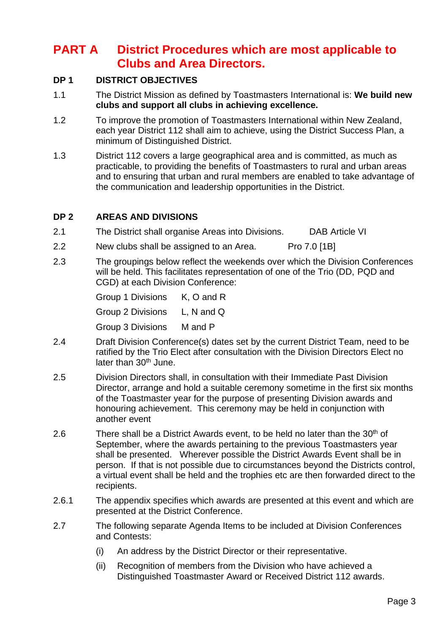# **PART A District Procedures which are most applicable to Clubs and Area Directors.**

#### **DP 1 DISTRICT OBJECTIVES**

- 1.1 The District Mission as defined by Toastmasters International is: **We build new clubs and support all clubs in achieving excellence.**
- 1.2 To improve the promotion of Toastmasters International within New Zealand, each year District 112 shall aim to achieve, using the District Success Plan, a minimum of Distinguished District.
- 1.3 District 112 covers a large geographical area and is committed, as much as practicable, to providing the benefits of Toastmasters to rural and urban areas and to ensuring that urban and rural members are enabled to take advantage of the communication and leadership opportunities in the District.

#### **DP 2 AREAS AND DIVISIONS**

- 2.1 The District shall organise Areas into Divisions. DAB Article VI
- 2.2 New clubs shall be assigned to an Area. Pro 7.0 [1B]
- 2.3 The groupings below reflect the weekends over which the Division Conferences will be held. This facilitates representation of one of the Trio (DD, PQD and CGD) at each Division Conference:

| Group 1 Divisions | K, O and R   |
|-------------------|--------------|
| Group 2 Divisions | L, N and $Q$ |
| Group 3 Divisions | M and P      |

- 2.4 Draft Division Conference(s) dates set by the current District Team, need to be ratified by the Trio Elect after consultation with the Division Directors Elect no later than 30<sup>th</sup> June.
- 2.5 Division Directors shall, in consultation with their Immediate Past Division Director, arrange and hold a suitable ceremony sometime in the first six months of the Toastmaster year for the purpose of presenting Division awards and honouring achievement. This ceremony may be held in conjunction with another event
- 2.6 There shall be a District Awards event, to be held no later than the  $30<sup>th</sup>$  of September, where the awards pertaining to the previous Toastmasters year shall be presented. Wherever possible the District Awards Event shall be in person. If that is not possible due to circumstances beyond the Districts control, a virtual event shall be held and the trophies etc are then forwarded direct to the recipients.
- 2.6.1 The appendix specifies which awards are presented at this event and which are presented at the District Conference.
- 2.7 The following separate Agenda Items to be included at Division Conferences and Contests:
	- (i) An address by the District Director or their representative.
	- (ii) Recognition of members from the Division who have achieved a Distinguished Toastmaster Award or Received District 112 awards.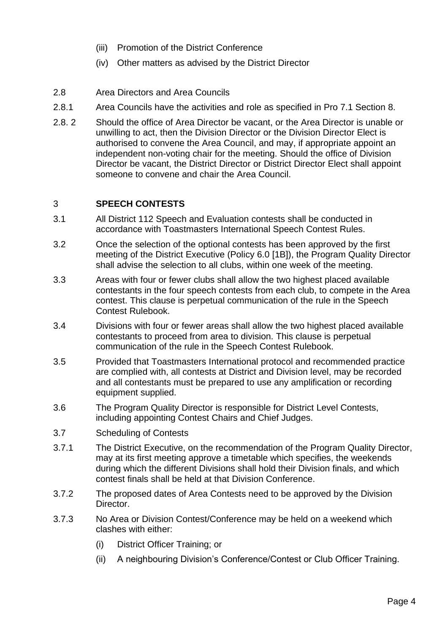- (iii) Promotion of the District Conference
- (iv) Other matters as advised by the District Director
- 2.8 Area Directors and Area Councils
- 2.8.1 Area Councils have the activities and role as specified in Pro 7.1 Section 8.
- 2.8. 2 Should the office of Area Director be vacant, or the Area Director is unable or unwilling to act, then the Division Director or the Division Director Elect is authorised to convene the Area Council, and may, if appropriate appoint an independent non-voting chair for the meeting. Should the office of Division Director be vacant, the District Director or District Director Elect shall appoint someone to convene and chair the Area Council.

#### 3 **SPEECH CONTESTS**

- 3.1 All District 112 Speech and Evaluation contests shall be conducted in accordance with Toastmasters International Speech Contest Rules.
- 3.2 Once the selection of the optional contests has been approved by the first meeting of the District Executive (Policy 6.0 [1B]), the Program Quality Director shall advise the selection to all clubs, within one week of the meeting.
- 3.3 Areas with four or fewer clubs shall allow the two highest placed available contestants in the four speech contests from each club, to compete in the Area contest. This clause is perpetual communication of the rule in the Speech Contest Rulebook.
- 3.4 Divisions with four or fewer areas shall allow the two highest placed available contestants to proceed from area to division. This clause is perpetual communication of the rule in the Speech Contest Rulebook.
- 3.5 Provided that Toastmasters International protocol and recommended practice are complied with, all contests at District and Division level, may be recorded and all contestants must be prepared to use any amplification or recording equipment supplied.
- 3.6 The Program Quality Director is responsible for District Level Contests, including appointing Contest Chairs and Chief Judges.
- 3.7 Scheduling of Contests
- 3.7.1 The District Executive, on the recommendation of the Program Quality Director, may at its first meeting approve a timetable which specifies, the weekends during which the different Divisions shall hold their Division finals, and which contest finals shall be held at that Division Conference.
- 3.7.2 The proposed dates of Area Contests need to be approved by the Division Director.
- 3.7.3 No Area or Division Contest/Conference may be held on a weekend which clashes with either:
	- (i) District Officer Training; or
	- (ii) A neighbouring Division's Conference/Contest or Club Officer Training.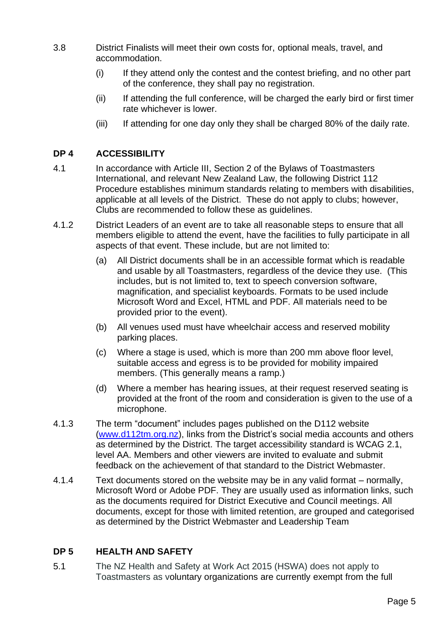- 3.8 District Finalists will meet their own costs for, optional meals, travel, and accommodation.
	- (i) If they attend only the contest and the contest briefing, and no other part of the conference, they shall pay no registration.
	- (ii) If attending the full conference, will be charged the early bird or first timer rate whichever is lower.
	- (iii) If attending for one day only they shall be charged 80% of the daily rate.

#### **DP 4 ACCESSIBILITY**

- 4.1 In accordance with Article III, Section 2 of the Bylaws of Toastmasters International, and relevant New Zealand Law, the following District 112 Procedure establishes minimum standards relating to members with disabilities, applicable at all levels of the District. These do not apply to clubs; however, Clubs are recommended to follow these as guidelines.
- 4.1.2 District Leaders of an event are to take all reasonable steps to ensure that all members eligible to attend the event, have the facilities to fully participate in all aspects of that event. These include, but are not limited to:
	- (a) All District documents shall be in an accessible format which is readable and usable by all Toastmasters, regardless of the device they use. (This includes, but is not limited to, text to speech conversion software, magnification, and specialist keyboards. Formats to be used include Microsoft Word and Excel, HTML and PDF. All materials need to be provided prior to the event).
	- (b) All venues used must have wheelchair access and reserved mobility parking places.
	- (c) Where a stage is used, which is more than 200 mm above floor level, suitable access and egress is to be provided for mobility impaired members. (This generally means a ramp.)
	- (d) Where a member has hearing issues, at their request reserved seating is provided at the front of the room and consideration is given to the use of a microphone.
- 4.1.3 The term "document" includes pages published on the D112 website [\(www.d112tm.org.nz\)](about:blank), links from the District's social media accounts and others as determined by the District. The target accessibility standard is WCAG 2.1, level AA. Members and other viewers are invited to evaluate and submit feedback on the achievement of that standard to the District Webmaster.
- 4.1.4 Text documents stored on the website may be in any valid format normally, Microsoft Word or Adobe PDF. They are usually used as information links, such as the documents required for District Executive and Council meetings. All documents, except for those with limited retention, are grouped and categorised as determined by the District Webmaster and Leadership Team

#### **DP 5 HEALTH AND SAFETY**

5.1 The NZ Health and Safety at Work Act 2015 (HSWA) does not apply to Toastmasters as voluntary organizations are currently exempt from the full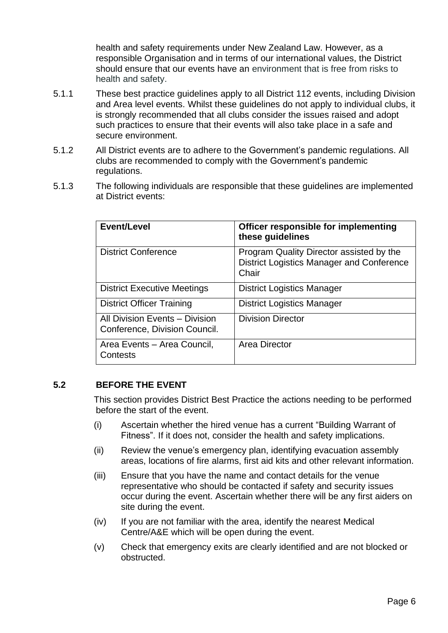health and safety requirements under New Zealand Law. However, as a responsible Organisation and in terms of our international values, the District should ensure that our events have an environment that is free from risks to health and safety.

- 5.1.1 These best practice guidelines apply to all District 112 events, including Division and Area level events. Whilst these guidelines do not apply to individual clubs, it is strongly recommended that all clubs consider the issues raised and adopt such practices to ensure that their events will also take place in a safe and secure environment.
- 5.1.2 All District events are to adhere to the Government's pandemic regulations. All clubs are recommended to comply with the Government's pandemic regulations.
- 5.1.3 The following individuals are responsible that these guidelines are implemented at District events:

| Event/Level                                                     | Officer responsible for implementing<br>these guidelines                                              |
|-----------------------------------------------------------------|-------------------------------------------------------------------------------------------------------|
| <b>District Conference</b>                                      | Program Quality Director assisted by the<br><b>District Logistics Manager and Conference</b><br>Chair |
| <b>District Executive Meetings</b>                              | <b>District Logistics Manager</b>                                                                     |
| <b>District Officer Training</b>                                | <b>District Logistics Manager</b>                                                                     |
| All Division Events - Division<br>Conference, Division Council. | <b>Division Director</b>                                                                              |
| Area Events - Area Council,<br>Contests                         | Area Director                                                                                         |

#### **5.2 BEFORE THE EVENT**

This section provides District Best Practice the actions needing to be performed before the start of the event.

- (i) Ascertain whether the hired venue has a current "Building Warrant of Fitness". If it does not, consider the health and safety implications.
- (ii) Review the venue's emergency plan, identifying evacuation assembly areas, locations of fire alarms, first aid kits and other relevant information.
- (iii) Ensure that you have the name and contact details for the venue representative who should be contacted if safety and security issues occur during the event. Ascertain whether there will be any first aiders on site during the event.
- (iv) If you are not familiar with the area, identify the nearest Medical Centre/A&E which will be open during the event.
- (v) Check that emergency exits are clearly identified and are not blocked or obstructed.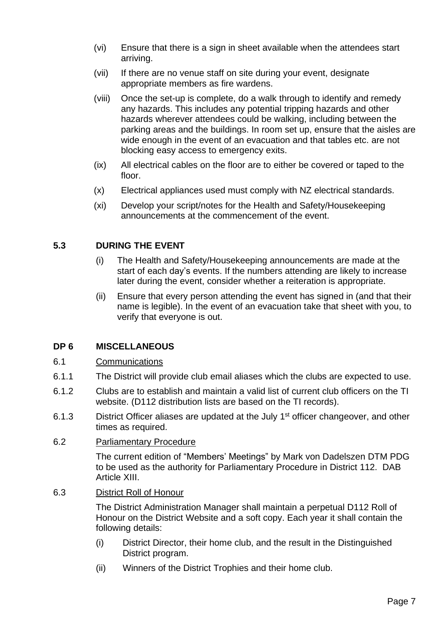- (vi) Ensure that there is a sign in sheet available when the attendees start arriving.
- (vii) If there are no venue staff on site during your event, designate appropriate members as fire wardens.
- (viii) Once the set-up is complete, do a walk through to identify and remedy any hazards. This includes any potential tripping hazards and other hazards wherever attendees could be walking, including between the parking areas and the buildings. In room set up, ensure that the aisles are wide enough in the event of an evacuation and that tables etc. are not blocking easy access to emergency exits.
- (ix) All electrical cables on the floor are to either be covered or taped to the floor.
- (x) Electrical appliances used must comply with NZ electrical standards.
- (xi) Develop your script/notes for the Health and Safety/Housekeeping announcements at the commencement of the event.

#### **5.3 DURING THE EVENT**

- (i) The Health and Safety/Housekeeping announcements are made at the start of each day's events. If the numbers attending are likely to increase later during the event, consider whether a reiteration is appropriate.
- (ii) Ensure that every person attending the event has signed in (and that their name is legible). In the event of an evacuation take that sheet with you, to verify that everyone is out.

#### **DP 6 MISCELLANEOUS**

#### 6.1 Communications

- 6.1.1 The District will provide club email aliases which the clubs are expected to use.
- 6.1.2 Clubs are to establish and maintain a valid list of current club officers on the TI website. (D112 distribution lists are based on the TI records).
- 6.1.3 District Officer aliases are updated at the July 1<sup>st</sup> officer changeover, and other times as required.
- 6.2 Parliamentary Procedure

The current edition of "Members' Meetings" by Mark von Dadelszen DTM PDG to be used as the authority for Parliamentary Procedure in District 112. DAB Article XIII.

6.3 District Roll of Honour

The District Administration Manager shall maintain a perpetual D112 Roll of Honour on the District Website and a soft copy. Each year it shall contain the following details:

- (i) District Director, their home club, and the result in the Distinguished District program.
- (ii) Winners of the District Trophies and their home club.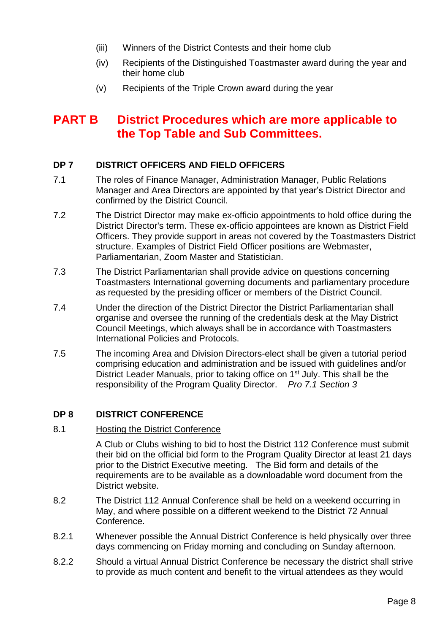- (iii) Winners of the District Contests and their home club
- (iv) Recipients of the Distinguished Toastmaster award during the year and their home club
- (v) Recipients of the Triple Crown award during the year

## **PART B District Procedures which are more applicable to the Top Table and Sub Committees.**

#### **DP 7 DISTRICT OFFICERS AND FIELD OFFICERS**

- 7.1 The roles of Finance Manager, Administration Manager, Public Relations Manager and Area Directors are appointed by that year's District Director and confirmed by the District Council.
- 7.2 The District Director may make ex-officio appointments to hold office during the District Director's term. These ex-officio appointees are known as District Field Officers. They provide support in areas not covered by the Toastmasters District structure. Examples of District Field Officer positions are Webmaster, Parliamentarian, Zoom Master and Statistician.
- 7.3 The District Parliamentarian shall provide advice on questions concerning Toastmasters International governing documents and parliamentary procedure as requested by the presiding officer or members of the District Council.
- 7.4 Under the direction of the District Director the District Parliamentarian shall organise and oversee the running of the credentials desk at the May District Council Meetings, which always shall be in accordance with Toastmasters International Policies and Protocols.
- 7.5 The incoming Area and Division Directors-elect shall be given a tutorial period comprising education and administration and be issued with guidelines and/or District Leader Manuals, prior to taking office on 1<sup>st</sup> July. This shall be the responsibility of the Program Quality Director. *Pro 7.1 Section 3*

#### **DP 8 DISTRICT CONFERENCE**

#### 8.1 Hosting the District Conference

A Club or Clubs wishing to bid to host the District 112 Conference must submit their bid on the official bid form to the Program Quality Director at least 21 days prior to the District Executive meeting. The Bid form and details of the requirements are to be available as a downloadable word document from the District website.

- 8.2 The District 112 Annual Conference shall be held on a weekend occurring in May, and where possible on a different weekend to the District 72 Annual Conference.
- 8.2.1 Whenever possible the Annual District Conference is held physically over three days commencing on Friday morning and concluding on Sunday afternoon.
- 8.2.2 Should a virtual Annual District Conference be necessary the district shall strive to provide as much content and benefit to the virtual attendees as they would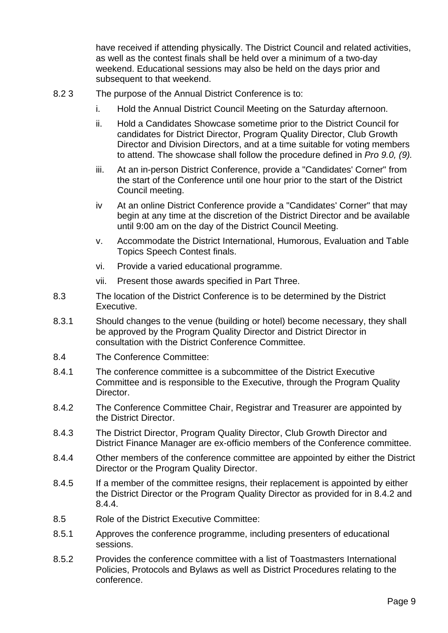have received if attending physically. The District Council and related activities, as well as the contest finals shall be held over a minimum of a two-day weekend. Educational sessions may also be held on the days prior and subsequent to that weekend.

- 8.2 3 The purpose of the Annual District Conference is to:
	- i. Hold the Annual District Council Meeting on the Saturday afternoon.
	- ii. Hold a Candidates Showcase sometime prior to the District Council for candidates for District Director, Program Quality Director, Club Growth Director and Division Directors, and at a time suitable for voting members to attend. The showcase shall follow the procedure defined in *Pro 9.0, (9).*
	- iii. At an in-person District Conference, provide a "Candidates' Corner" from the start of the Conference until one hour prior to the start of the District Council meeting.
	- iv At an online District Conference provide a "Candidates' Corner" that may begin at any time at the discretion of the District Director and be available until 9:00 am on the day of the District Council Meeting.
	- v. Accommodate the District International, Humorous, Evaluation and Table Topics Speech Contest finals.
	- vi. Provide a varied educational programme.
	- vii. Present those awards specified in Part Three.
- 8.3 The location of the District Conference is to be determined by the District Executive.
- 8.3.1 Should changes to the venue (building or hotel) become necessary, they shall be approved by the Program Quality Director and District Director in consultation with the District Conference Committee.
- 8.4 The Conference Committee:
- 8.4.1 The conference committee is a subcommittee of the District Executive Committee and is responsible to the Executive, through the Program Quality Director.
- 8.4.2 The Conference Committee Chair, Registrar and Treasurer are appointed by the District Director.
- 8.4.3 The District Director, Program Quality Director, Club Growth Director and District Finance Manager are ex-officio members of the Conference committee.
- 8.4.4 Other members of the conference committee are appointed by either the District Director or the Program Quality Director.
- 8.4.5 If a member of the committee resigns, their replacement is appointed by either the District Director or the Program Quality Director as provided for in 8.4.2 and 8.4.4.
- 8.5 Role of the District Executive Committee:
- 8.5.1 Approves the conference programme, including presenters of educational sessions.
- 8.5.2 Provides the conference committee with a list of Toastmasters International Policies, Protocols and Bylaws as well as District Procedures relating to the conference.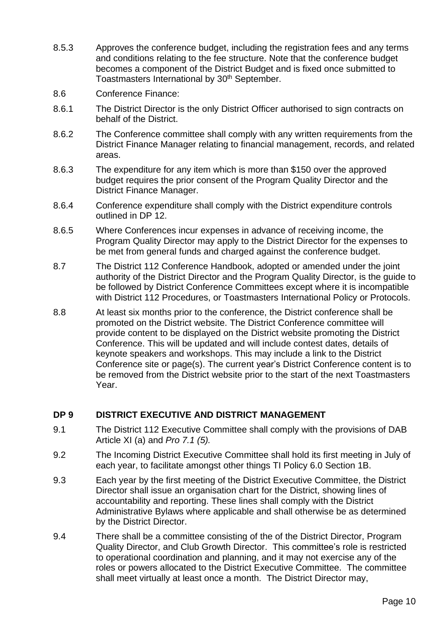- 8.5.3 Approves the conference budget, including the registration fees and any terms and conditions relating to the fee structure. Note that the conference budget becomes a component of the District Budget and is fixed once submitted to Toastmasters International by 30<sup>th</sup> September.
- 8.6 Conference Finance:
- 8.6.1 The District Director is the only District Officer authorised to sign contracts on behalf of the District.
- 8.6.2 The Conference committee shall comply with any written requirements from the District Finance Manager relating to financial management, records, and related areas.
- 8.6.3 The expenditure for any item which is more than \$150 over the approved budget requires the prior consent of the Program Quality Director and the District Finance Manager.
- 8.6.4 Conference expenditure shall comply with the District expenditure controls outlined in DP 12.
- 8.6.5 Where Conferences incur expenses in advance of receiving income, the Program Quality Director may apply to the District Director for the expenses to be met from general funds and charged against the conference budget.
- 8.7 The District 112 Conference Handbook, adopted or amended under the joint authority of the District Director and the Program Quality Director, is the guide to be followed by District Conference Committees except where it is incompatible with District 112 Procedures, or Toastmasters International Policy or Protocols.
- 8.8 At least six months prior to the conference, the District conference shall be promoted on the District website. The District Conference committee will provide content to be displayed on the District website promoting the District Conference. This will be updated and will include contest dates, details of keynote speakers and workshops. This may include a link to the District Conference site or page(s). The current year's District Conference content is to be removed from the District website prior to the start of the next Toastmasters Year.

#### **DP 9 DISTRICT EXECUTIVE AND DISTRICT MANAGEMENT**

- 9.1 The District 112 Executive Committee shall comply with the provisions of DAB Article XI (a) and *Pro 7.1 (5).*
- 9.2 The Incoming District Executive Committee shall hold its first meeting in July of each year, to facilitate amongst other things TI Policy 6.0 Section 1B.
- 9.3 Each year by the first meeting of the District Executive Committee, the District Director shall issue an organisation chart for the District, showing lines of accountability and reporting. These lines shall comply with the District Administrative Bylaws where applicable and shall otherwise be as determined by the District Director.
- 9.4 There shall be a committee consisting of the of the District Director, Program Quality Director, and Club Growth Director. This committee's role is restricted to operational coordination and planning, and it may not exercise any of the roles or powers allocated to the District Executive Committee. The committee shall meet virtually at least once a month. The District Director may,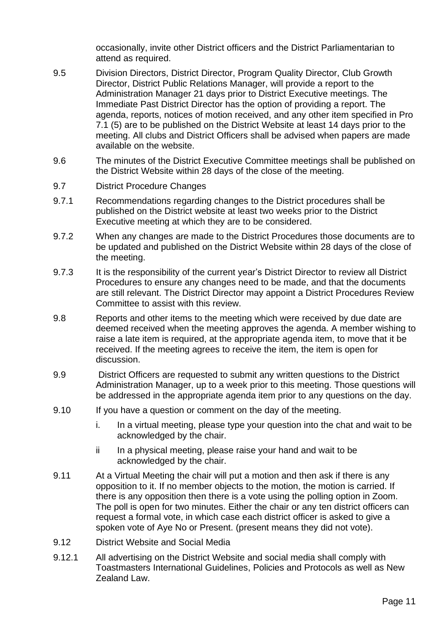occasionally, invite other District officers and the District Parliamentarian to attend as required.

- 9.5 Division Directors, District Director, Program Quality Director, Club Growth Director, District Public Relations Manager, will provide a report to the Administration Manager 21 days prior to District Executive meetings. The Immediate Past District Director has the option of providing a report. The agenda, reports, notices of motion received, and any other item specified in Pro 7.1 (5) are to be published on the District Website at least 14 days prior to the meeting. All clubs and District Officers shall be advised when papers are made available on the website.
- 9.6 The minutes of the District Executive Committee meetings shall be published on the District Website within 28 days of the close of the meeting.
- 9.7 District Procedure Changes
- 9.7.1 Recommendations regarding changes to the District procedures shall be published on the District website at least two weeks prior to the District Executive meeting at which they are to be considered.
- 9.7.2 When any changes are made to the District Procedures those documents are to be updated and published on the District Website within 28 days of the close of the meeting.
- 9.7.3 It is the responsibility of the current year's District Director to review all District Procedures to ensure any changes need to be made, and that the documents are still relevant. The District Director may appoint a District Procedures Review Committee to assist with this review.
- 9.8 Reports and other items to the meeting which were received by due date are deemed received when the meeting approves the agenda. A member wishing to raise a late item is required, at the appropriate agenda item, to move that it be received. If the meeting agrees to receive the item, the item is open for discussion.
- 9.9 District Officers are requested to submit any written questions to the District Administration Manager, up to a week prior to this meeting. Those questions will be addressed in the appropriate agenda item prior to any questions on the day.
- 9.10 If you have a question or comment on the day of the meeting.
	- i. In a virtual meeting, please type your question into the chat and wait to be acknowledged by the chair.
	- ii In a physical meeting, please raise your hand and wait to be acknowledged by the chair.
- 9.11 At a Virtual Meeting the chair will put a motion and then ask if there is any opposition to it. If no member objects to the motion, the motion is carried. If there is any opposition then there is a vote using the polling option in Zoom. The poll is open for two minutes. Either the chair or any ten district officers can request a formal vote, in which case each district officer is asked to give a spoken vote of Aye No or Present. (present means they did not vote).
- 9.12 District Website and Social Media
- 9.12.1 All advertising on the District Website and social media shall comply with Toastmasters International Guidelines, Policies and Protocols as well as New Zealand Law.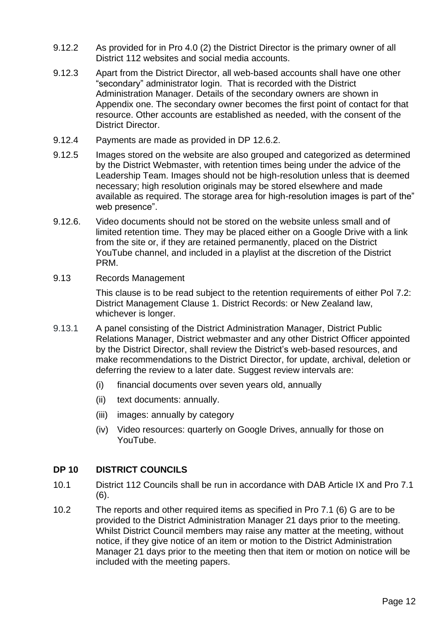- 9.12.2 As provided for in Pro 4.0 (2) the District Director is the primary owner of all District 112 websites and social media accounts.
- 9.12.3 Apart from the District Director, all web-based accounts shall have one other "secondary" administrator login. That is recorded with the District Administration Manager. Details of the secondary owners are shown in Appendix one. The secondary owner becomes the first point of contact for that resource. Other accounts are established as needed, with the consent of the District Director.
- 9.12.4 Payments are made as provided in DP 12.6.2.
- 9.12.5 Images stored on the website are also grouped and categorized as determined by the District Webmaster, with retention times being under the advice of the Leadership Team. Images should not be high-resolution unless that is deemed necessary; high resolution originals may be stored elsewhere and made available as required. The storage area for high-resolution images is part of the" web presence".
- 9.12.6. Video documents should not be stored on the website unless small and of limited retention time. They may be placed either on a Google Drive with a link from the site or, if they are retained permanently, placed on the District YouTube channel, and included in a playlist at the discretion of the District PRM.
- 9.13 Records Management

This clause is to be read subject to the retention requirements of either Pol 7.2: District Management Clause 1. District Records: or New Zealand law, whichever is longer.

- 9.13.1 A panel consisting of the District Administration Manager, District Public Relations Manager, District webmaster and any other District Officer appointed by the District Director, shall review the District's web-based resources, and make recommendations to the District Director, for update, archival, deletion or deferring the review to a later date. Suggest review intervals are:
	- (i) financial documents over seven years old, annually
	- (ii) text documents: annually.
	- (iii) images: annually by category
	- (iv) Video resources: quarterly on Google Drives, annually for those on YouTube.

#### **DP 10 DISTRICT COUNCILS**

- 10.1 District 112 Councils shall be run in accordance with DAB Article IX and Pro 7.1 (6).
- 10.2 The reports and other required items as specified in Pro 7.1 (6) G are to be provided to the District Administration Manager 21 days prior to the meeting. Whilst District Council members may raise any matter at the meeting, without notice, if they give notice of an item or motion to the District Administration Manager 21 days prior to the meeting then that item or motion on notice will be included with the meeting papers.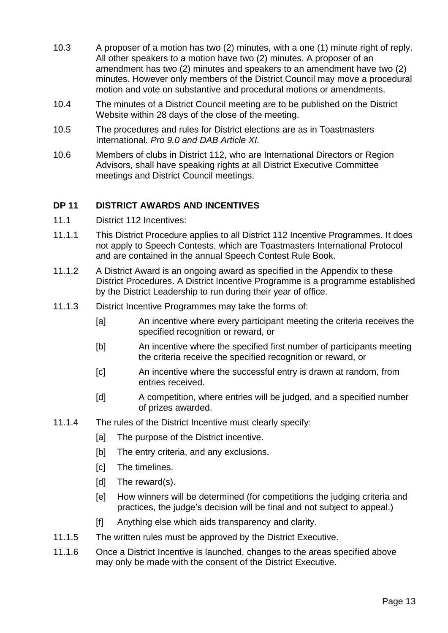- 10.3 A proposer of a motion has two (2) minutes, with a one (1) minute right of reply. All other speakers to a motion have two (2) minutes. A proposer of an amendment has two (2) minutes and speakers to an amendment have two (2) minutes. However only members of the District Council may move a procedural motion and vote on substantive and procedural motions or amendments.
- 10.4 The minutes of a District Council meeting are to be published on the District Website within 28 days of the close of the meeting.
- 10.5 The procedures and rules for District elections are as in Toastmasters International. *Pro 9.0 and DAB Article XI.*
- 10.6 Members of clubs in District 112, who are International Directors or Region Advisors, shall have speaking rights at all District Executive Committee meetings and District Council meetings.

#### **DP 11 DISTRICT AWARDS AND INCENTIVES**

- 11.1 District 112 Incentives:
- 11.1.1 This District Procedure applies to all District 112 Incentive Programmes. It does not apply to Speech Contests, which are Toastmasters International Protocol and are contained in the annual Speech Contest Rule Book.
- 11.1.2 A District Award is an ongoing award as specified in the Appendix to these District Procedures. A District Incentive Programme is a programme established by the District Leadership to run during their year of office.
- 11.1.3 District Incentive Programmes may take the forms of:
	- [a] An incentive where every participant meeting the criteria receives the specified recognition or reward, or
	- [b] An incentive where the specified first number of participants meeting the criteria receive the specified recognition or reward, or
	- [c] An incentive where the successful entry is drawn at random, from entries received.
	- [d] A competition, where entries will be judged, and a specified number of prizes awarded.
- 11.1.4 The rules of the District Incentive must clearly specify:
	- [a] The purpose of the District incentive.
	- [b] The entry criteria, and any exclusions.
	- [c] The timelines.
	- [d] The reward(s).
	- [e] How winners will be determined (for competitions the judging criteria and practices, the judge's decision will be final and not subject to appeal.)
	- [f] Anything else which aids transparency and clarity.
- 11.1.5 The written rules must be approved by the District Executive.
- 11.1.6 Once a District Incentive is launched, changes to the areas specified above may only be made with the consent of the District Executive.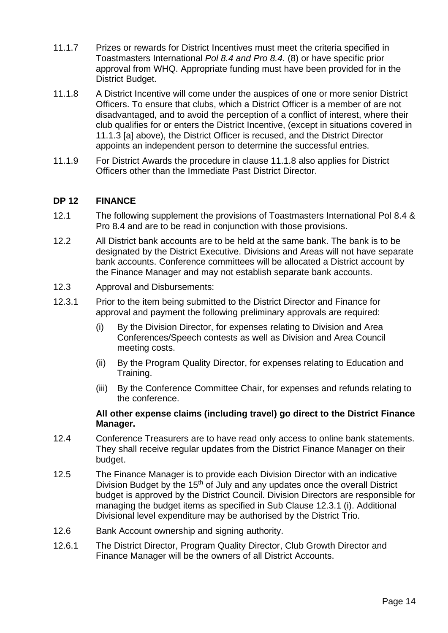- 11.1.7 Prizes or rewards for District Incentives must meet the criteria specified in Toastmasters International *Pol 8.4 and Pro 8.4*. (8) or have specific prior approval from WHQ. Appropriate funding must have been provided for in the District Budget.
- 11.1.8 A District Incentive will come under the auspices of one or more senior District Officers. To ensure that clubs, which a District Officer is a member of are not disadvantaged, and to avoid the perception of a conflict of interest, where their club qualifies for or enters the District Incentive, (except in situations covered in 11.1.3 [a] above), the District Officer is recused, and the District Director appoints an independent person to determine the successful entries.
- 11.1.9 For District Awards the procedure in clause 11.1.8 also applies for District Officers other than the Immediate Past District Director.

#### **DP 12 FINANCE**

- 12.1 The following supplement the provisions of Toastmasters International Pol 8.4 & Pro 8.4 and are to be read in conjunction with those provisions.
- 12.2 All District bank accounts are to be held at the same bank. The bank is to be designated by the District Executive. Divisions and Areas will not have separate bank accounts. Conference committees will be allocated a District account by the Finance Manager and may not establish separate bank accounts.
- 12.3 Approval and Disbursements:
- 12.3.1 Prior to the item being submitted to the District Director and Finance for approval and payment the following preliminary approvals are required:
	- (i) By the Division Director, for expenses relating to Division and Area Conferences/Speech contests as well as Division and Area Council meeting costs.
	- (ii) By the Program Quality Director, for expenses relating to Education and Training.
	- (iii) By the Conference Committee Chair, for expenses and refunds relating to the conference.

#### **All other expense claims (including travel) go direct to the District Finance Manager.**

- 12.4 Conference Treasurers are to have read only access to online bank statements. They shall receive regular updates from the District Finance Manager on their budget.
- 12.5 The Finance Manager is to provide each Division Director with an indicative Division Budget by the  $15<sup>th</sup>$  of July and any updates once the overall District budget is approved by the District Council. Division Directors are responsible for managing the budget items as specified in Sub Clause 12.3.1 (i). Additional Divisional level expenditure may be authorised by the District Trio.
- 12.6 Bank Account ownership and signing authority.
- 12.6.1 The District Director, Program Quality Director, Club Growth Director and Finance Manager will be the owners of all District Accounts.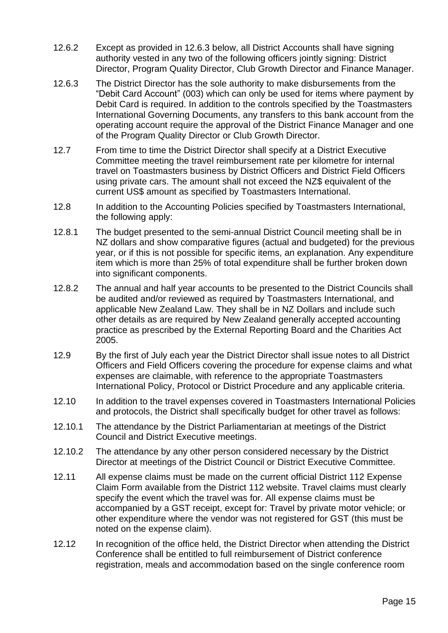- 12.6.2 Except as provided in 12.6.3 below, all District Accounts shall have signing authority vested in any two of the following officers jointly signing: District Director, Program Quality Director, Club Growth Director and Finance Manager.
- 12.6.3 The District Director has the sole authority to make disbursements from the "Debit Card Account" (003) which can only be used for items where payment by Debit Card is required. In addition to the controls specified by the Toastmasters International Governing Documents, any transfers to this bank account from the operating account require the approval of the District Finance Manager and one of the Program Quality Director or Club Growth Director.
- 12.7 From time to time the District Director shall specify at a District Executive Committee meeting the travel reimbursement rate per kilometre for internal travel on Toastmasters business by District Officers and District Field Officers using private cars. The amount shall not exceed the NZ\$ equivalent of the current US\$ amount as specified by Toastmasters International.
- 12.8 In addition to the Accounting Policies specified by Toastmasters International, the following apply:
- 12.8.1 The budget presented to the semi-annual District Council meeting shall be in NZ dollars and show comparative figures (actual and budgeted) for the previous year, or if this is not possible for specific items, an explanation. Any expenditure item which is more than 25% of total expenditure shall be further broken down into significant components.
- 12.8.2 The annual and half year accounts to be presented to the District Councils shall be audited and/or reviewed as required by Toastmasters International, and applicable New Zealand Law. They shall be in NZ Dollars and include such other details as are required by New Zealand generally accepted accounting practice as prescribed by the External Reporting Board and the Charities Act 2005.
- 12.9 By the first of July each year the District Director shall issue notes to all District Officers and Field Officers covering the procedure for expense claims and what expenses are claimable, with reference to the appropriate Toastmasters International Policy, Protocol or District Procedure and any applicable criteria.
- 12.10 In addition to the travel expenses covered in Toastmasters International Policies and protocols, the District shall specifically budget for other travel as follows:
- 12.10.1 The attendance by the District Parliamentarian at meetings of the District Council and District Executive meetings.
- 12.10.2 The attendance by any other person considered necessary by the District Director at meetings of the District Council or District Executive Committee.
- 12.11 All expense claims must be made on the current official District 112 Expense Claim Form available from the District 112 website. Travel claims must clearly specify the event which the travel was for. All expense claims must be accompanied by a GST receipt, except for: Travel by private motor vehicle; or other expenditure where the vendor was not registered for GST (this must be noted on the expense claim).
- 12.12 In recognition of the office held, the District Director when attending the District Conference shall be entitled to full reimbursement of District conference registration, meals and accommodation based on the single conference room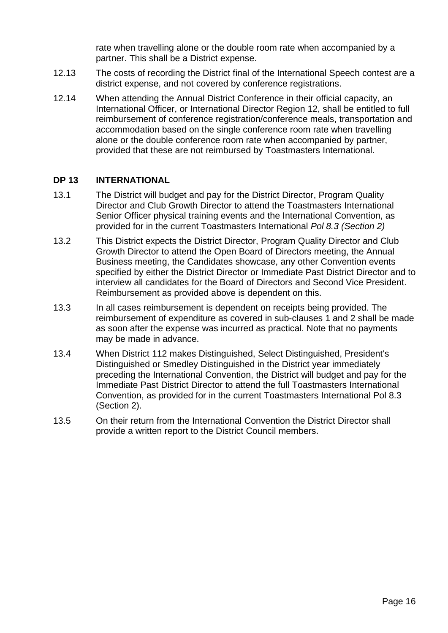rate when travelling alone or the double room rate when accompanied by a partner. This shall be a District expense.

- 12.13 The costs of recording the District final of the International Speech contest are a district expense, and not covered by conference registrations.
- 12.14 When attending the Annual District Conference in their official capacity, an International Officer, or International Director Region 12, shall be entitled to full reimbursement of conference registration/conference meals, transportation and accommodation based on the single conference room rate when travelling alone or the double conference room rate when accompanied by partner, provided that these are not reimbursed by Toastmasters International.

#### **DP 13 INTERNATIONAL**

- 13.1 The District will budget and pay for the District Director, Program Quality Director and Club Growth Director to attend the Toastmasters International Senior Officer physical training events and the International Convention, as provided for in the current Toastmasters International *Pol 8.3 (Section 2)*
- 13.2 This District expects the District Director, Program Quality Director and Club Growth Director to attend the Open Board of Directors meeting, the Annual Business meeting, the Candidates showcase, any other Convention events specified by either the District Director or Immediate Past District Director and to interview all candidates for the Board of Directors and Second Vice President. Reimbursement as provided above is dependent on this.
- 13.3 In all cases reimbursement is dependent on receipts being provided. The reimbursement of expenditure as covered in sub-clauses 1 and 2 shall be made as soon after the expense was incurred as practical. Note that no payments may be made in advance.
- 13.4 When District 112 makes Distinguished, Select Distinguished, President's Distinguished or Smedley Distinguished in the District year immediately preceding the International Convention, the District will budget and pay for the Immediate Past District Director to attend the full Toastmasters International Convention, as provided for in the current Toastmasters International Pol 8.3 (Section 2).
- 13.5 On their return from the International Convention the District Director shall provide a written report to the District Council members.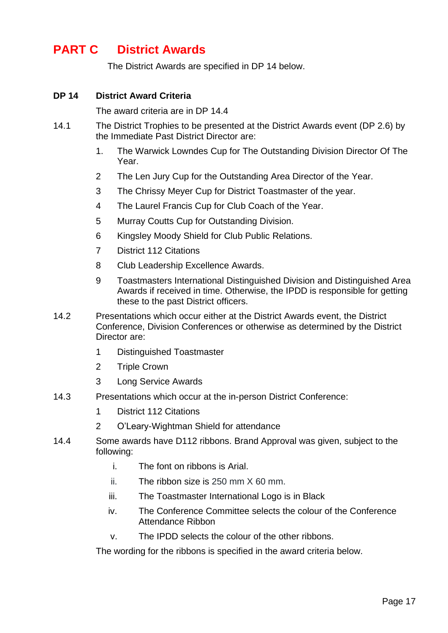# **PART C District Awards**

The District Awards are specified in DP 14 below.

#### **DP 14 District Award Criteria**

The award criteria are in DP 14.4

- 14.1 The District Trophies to be presented at the District Awards event (DP 2.6) by the Immediate Past District Director are:
	- 1. The Warwick Lowndes Cup for The Outstanding Division Director Of The Year.
	- 2 The Len Jury Cup for the Outstanding Area Director of the Year.
	- 3 The Chrissy Meyer Cup for District Toastmaster of the year.
	- 4 The Laurel Francis Cup for Club Coach of the Year.
	- 5 Murray Coutts Cup for Outstanding Division.
	- 6 Kingsley Moody Shield for Club Public Relations.
	- 7 District 112 Citations
	- 8 Club Leadership Excellence Awards.
	- 9 Toastmasters International Distinguished Division and Distinguished Area Awards if received in time. Otherwise, the IPDD is responsible for getting these to the past District officers.
- 14.2 Presentations which occur either at the District Awards event, the District Conference, Division Conferences or otherwise as determined by the District Director are:
	- 1 Distinguished Toastmaster
	- 2 Triple Crown
	- 3 Long Service Awards
- 14.3 Presentations which occur at the in-person District Conference:
	- 1 District 112 Citations
	- 2 O'Leary-Wightman Shield for attendance
- 14.4 Some awards have D112 ribbons. Brand Approval was given, subject to the following:
	- i. The font on ribbons is Arial.
	- ii. The ribbon size is 250 mm X 60 mm.
	- iii. The Toastmaster International Logo is in Black
	- iv. The Conference Committee selects the colour of the Conference Attendance Ribbon
	- v. The IPDD selects the colour of the other ribbons.

The wording for the ribbons is specified in the award criteria below.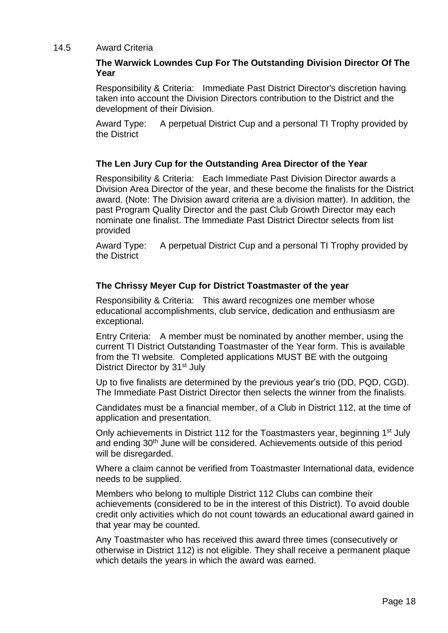#### 14.5 Award Criteria

#### **The Warwick Lowndes Cup For The Outstanding Division Director Of The Year**

Responsibility & Criteria: Immediate Past District Director's discretion having taken into account the Division Directors contribution to the District and the development of their Division.

Award Type: A perpetual District Cup and a personal TI Trophy provided by the District

#### **The Len Jury Cup for the Outstanding Area Director of the Year**

Responsibility & Criteria: Each Immediate Past Division Director awards a Division Area Director of the year, and these become the finalists for the District award. (Note: The Division award criteria are a division matter). In addition, the past Program Quality Director and the past Club Growth Director may each nominate one finalist. The Immediate Past District Director selects from list provided

Award Type: A perpetual District Cup and a personal TI Trophy provided by the District

#### **The Chrissy Meyer Cup for District Toastmaster of the year**

Responsibility & Criteria: This award recognizes one member whose educational accomplishments, club service, dedication and enthusiasm are exceptional.

Entry Criteria: A member must be nominated by another member, using the current TI District Outstanding Toastmaster of the Year form. This is available from the TI website. Completed applications MUST BE with the outgoing District Director by 31<sup>st</sup> July

Up to five finalists are determined by the previous year's trio (DD, PQD, CGD). The Immediate Past District Director then selects the winner from the finalists.

Candidates must be a financial member, of a Club in District 112, at the time of application and presentation.

Only achievements in District 112 for the Toastmasters year, beginning 1<sup>st</sup> July and ending 30th June will be considered. Achievements outside of this period will be disregarded.

Where a claim cannot be verified from Toastmaster International data, evidence needs to be supplied.

Members who belong to multiple District 112 Clubs can combine their achievements (considered to be in the interest of this District). To avoid double credit only activities which do not count towards an educational award gained in that year may be counted.

Any Toastmaster who has received this award three times (consecutively or otherwise in District 112) is not eligible. They shall receive a permanent plaque which details the years in which the award was earned.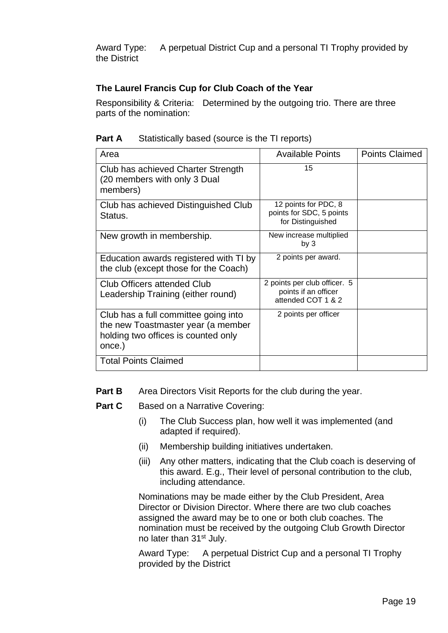Award Type: A perpetual District Cup and a personal TI Trophy provided by the District

#### **The Laurel Francis Cup for Club Coach of the Year**

Responsibility & Criteria: Determined by the outgoing trio. There are three parts of the nomination:

| Part A | Statistically based (source is the TI reports) |  |  |
|--------|------------------------------------------------|--|--|
|        |                                                |  |  |

| Area                                                                                                                        | <b>Available Points</b>                                                    | <b>Points Claimed</b> |
|-----------------------------------------------------------------------------------------------------------------------------|----------------------------------------------------------------------------|-----------------------|
| Club has achieved Charter Strength<br>(20 members with only 3 Dual<br>members)                                              | 15                                                                         |                       |
| Club has achieved Distinguished Club<br>Status.                                                                             | 12 points for PDC, 8<br>points for SDC, 5 points<br>for Distinguished      |                       |
| New growth in membership.                                                                                                   | New increase multiplied<br>by $3$                                          |                       |
| Education awards registered with TI by<br>the club (except those for the Coach)                                             | 2 points per award.                                                        |                       |
| Club Officers attended Club<br>Leadership Training (either round)                                                           | 2 points per club officer. 5<br>points if an officer<br>attended COT 1 & 2 |                       |
| Club has a full committee going into<br>the new Toastmaster year (a member<br>holding two offices is counted only<br>once.) | 2 points per officer                                                       |                       |
| <b>Total Points Claimed</b>                                                                                                 |                                                                            |                       |

**Part B** Area Directors Visit Reports for the club during the year.

- **Part C** Based on a Narrative Covering:
	- (i) The Club Success plan, how well it was implemented (and adapted if required).
	- (ii) Membership building initiatives undertaken.
	- (iii) Any other matters, indicating that the Club coach is deserving of this award. E.g., Their level of personal contribution to the club, including attendance.

Nominations may be made either by the Club President, Area Director or Division Director. Where there are two club coaches assigned the award may be to one or both club coaches. The nomination must be received by the outgoing Club Growth Director no later than 31<sup>st</sup> July.

Award Type: A perpetual District Cup and a personal TI Trophy provided by the District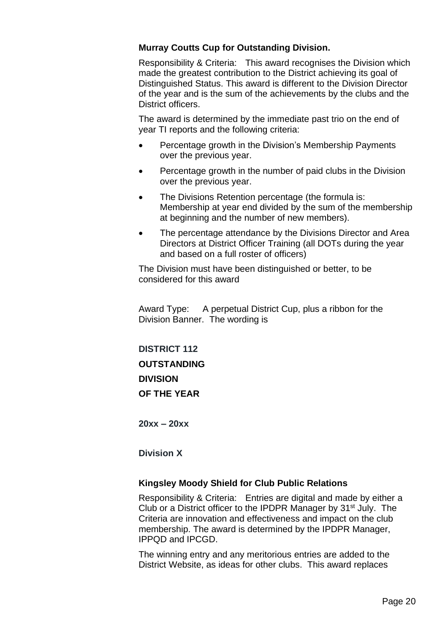#### **Murray Coutts Cup for Outstanding Division.**

Responsibility & Criteria: This award recognises the Division which made the greatest contribution to the District achieving its goal of Distinguished Status. This award is different to the Division Director of the year and is the sum of the achievements by the clubs and the District officers.

The award is determined by the immediate past trio on the end of year TI reports and the following criteria:

- Percentage growth in the Division's Membership Payments over the previous year.
- Percentage growth in the number of paid clubs in the Division over the previous year.
- The Divisions Retention percentage (the formula is: Membership at year end divided by the sum of the membership at beginning and the number of new members).
- The percentage attendance by the Divisions Director and Area Directors at District Officer Training (all DOTs during the year and based on a full roster of officers)

The Division must have been distinguished or better, to be considered for this award

Award Type: A perpetual District Cup, plus a ribbon for the Division Banner. The wording is

**DISTRICT 112 OUTSTANDING DIVISION OF THE YEAR**

**20xx – 20xx**

**Division X**

#### **Kingsley Moody Shield for Club Public Relations**

Responsibility & Criteria: Entries are digital and made by either a Club or a District officer to the IPDPR Manager by 31<sup>st</sup> July. The Criteria are innovation and effectiveness and impact on the club membership. The award is determined by the IPDPR Manager, IPPQD and IPCGD.

The winning entry and any meritorious entries are added to the District Website, as ideas for other clubs. This award replaces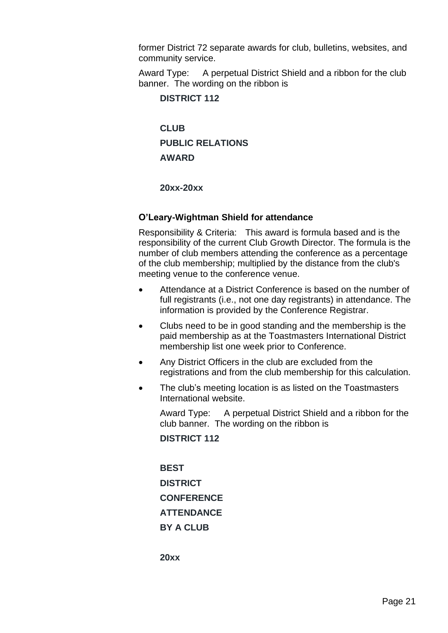former District 72 separate awards for club, bulletins, websites, and community service.

Award Type: A perpetual District Shield and a ribbon for the club banner. The wording on the ribbon is

#### **DISTRICT 112**

**CLUB PUBLIC RELATIONS AWARD**

**20xx-20xx**

#### **O'Leary-Wightman Shield for attendance**

Responsibility & Criteria: This award is formula based and is the responsibility of the current Club Growth Director. The formula is the number of club members attending the conference as a percentage of the club membership; multiplied by the distance from the club's meeting venue to the conference venue.

- Attendance at a District Conference is based on the number of full registrants (i.e., not one day registrants) in attendance. The information is provided by the Conference Registrar.
- Clubs need to be in good standing and the membership is the paid membership as at the Toastmasters International District membership list one week prior to Conference.
- Any District Officers in the club are excluded from the registrations and from the club membership for this calculation.
- The club's meeting location is as listed on the Toastmasters International website.

Award Type: A perpetual District Shield and a ribbon for the club banner. The wording on the ribbon is

**DISTRICT 112**

**BEST DISTRICT CONFERENCE ATTENDANCE BY A CLUB**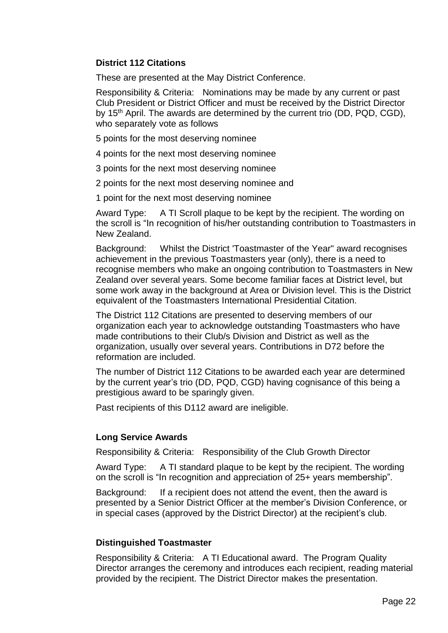#### **District 112 Citations**

These are presented at the May District Conference.

Responsibility & Criteria: Nominations may be made by any current or past Club President or District Officer and must be received by the District Director by 15<sup>th</sup> April. The awards are determined by the current trio (DD, PQD, CGD), who separately vote as follows

- 5 points for the most deserving nominee
- 4 points for the next most deserving nominee
- 3 points for the next most deserving nominee
- 2 points for the next most deserving nominee and
- 1 point for the next most deserving nominee

Award Type: A TI Scroll plaque to be kept by the recipient. The wording on the scroll is "In recognition of his/her outstanding contribution to Toastmasters in New Zealand.

Background: Whilst the District 'Toastmaster of the Year" award recognises achievement in the previous Toastmasters year (only), there is a need to recognise members who make an ongoing contribution to Toastmasters in New Zealand over several years. Some become familiar faces at District level, but some work away in the background at Area or Division level. This is the District equivalent of the Toastmasters International Presidential Citation.

The District 112 Citations are presented to deserving members of our organization each year to acknowledge outstanding Toastmasters who have made contributions to their Club/s Division and District as well as the organization, usually over several years. Contributions in D72 before the reformation are included.

The number of District 112 Citations to be awarded each year are determined by the current year's trio (DD, PQD, CGD) having cognisance of this being a prestigious award to be sparingly given.

Past recipients of this D112 award are ineligible.

#### **Long Service Awards**

Responsibility & Criteria: Responsibility of the Club Growth Director

Award Type: A TI standard plaque to be kept by the recipient. The wording on the scroll is "In recognition and appreciation of 25+ years membership".

Background: If a recipient does not attend the event, then the award is presented by a Senior District Officer at the member's Division Conference, or in special cases (approved by the District Director) at the recipient's club.

#### **Distinguished Toastmaster**

Responsibility & Criteria: A TI Educational award. The Program Quality Director arranges the ceremony and introduces each recipient, reading material provided by the recipient. The District Director makes the presentation.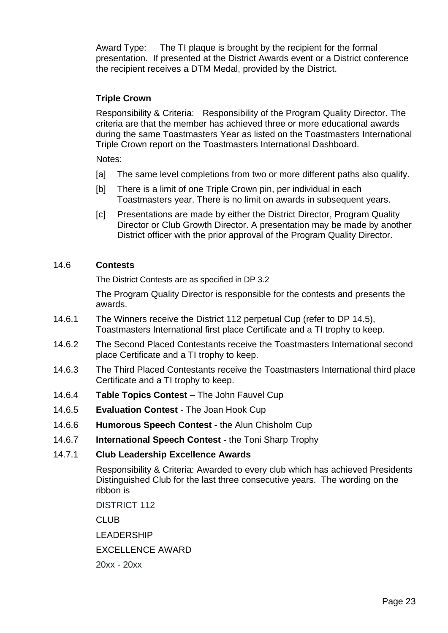Award Type: The TI plaque is brought by the recipient for the formal presentation. If presented at the District Awards event or a District conference the recipient receives a DTM Medal, provided by the District.

#### **Triple Crown**

Responsibility & Criteria: Responsibility of the Program Quality Director. The criteria are that the member has achieved three or more educational awards during the same Toastmasters Year as listed on the Toastmasters International Triple Crown report on the Toastmasters International Dashboard.

Notes:

- [a] The same level completions from two or more different paths also qualify.
- [b] There is a limit of one Triple Crown pin, per individual in each Toastmasters year. There is no limit on awards in subsequent years.
- [c] Presentations are made by either the District Director, Program Quality Director or Club Growth Director. A presentation may be made by another District officer with the prior approval of the Program Quality Director.

#### 14.6 **Contests**

The District Contests are as specified in DP 3.2

The Program Quality Director is responsible for the contests and presents the awards.

- 14.6.1 The Winners receive the District 112 perpetual Cup (refer to DP 14.5), Toastmasters International first place Certificate and a TI trophy to keep.
- 14.6.2 The Second Placed Contestants receive the Toastmasters International second place Certificate and a TI trophy to keep.
- 14.6.3 The Third Placed Contestants receive the Toastmasters International third place Certificate and a TI trophy to keep.
- 14.6.4 **Table Topics Contest** The John Fauvel Cup
- 14.6.5 **Evaluation Contest** The Joan Hook Cup
- 14.6.6 **Humorous Speech Contest -** the Alun Chisholm Cup
- 14.6.7 **International Speech Contest -** the Toni Sharp Trophy
- 14.7.1 **Club Leadership Excellence Awards**

Responsibility & Criteria: Awarded to every club which has achieved Presidents Distinguished Club for the last three consecutive years. The wording on the ribbon is

DISTRICT 112

CLUB

LEADERSHIP

EXCELLENCE AWARD

20xx - 20xx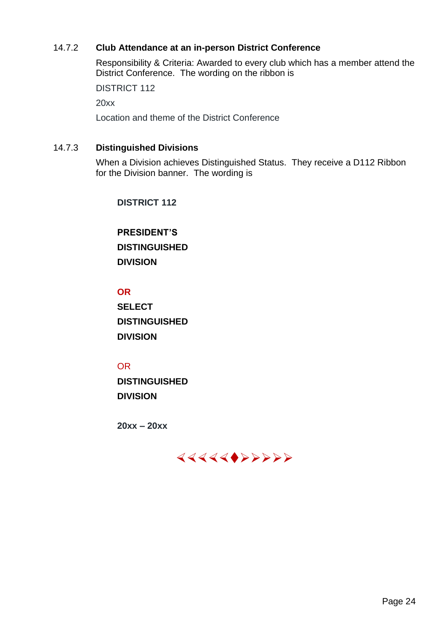#### 14.7.2 **Club Attendance at an in-person District Conference**

Responsibility & Criteria: Awarded to every club which has a member attend the District Conference. The wording on the ribbon is

DISTRICT 112

20xx

Location and theme of the District Conference

#### 14.7.3 **Distinguished Divisions**

When a Division achieves Distinguished Status. They receive a D112 Ribbon for the Division banner. The wording is

**DISTRICT 112**

**PRESIDENT'S DISTINGUISHED DIVISION**

#### **OR**

**SELECT DISTINGUISHED DIVISION**

#### OR

**DISTINGUISHED DIVISION**

**20xx – 20xx**

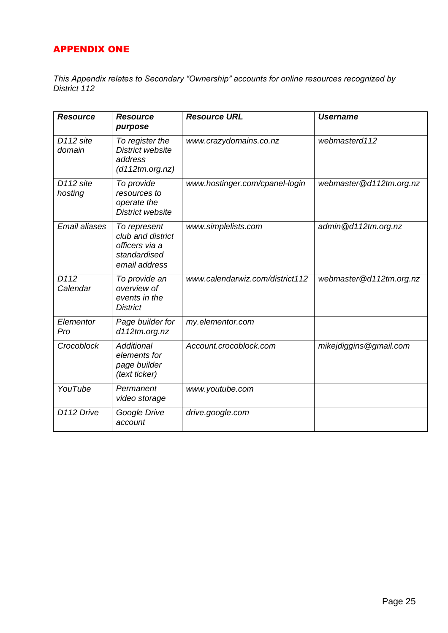#### APPENDIX ONE

*This Appendix relates to Secondary "Ownership" accounts for online resources recognized by District 112*

| <b>Resource</b>                  | <b>Resource</b><br>purpose                                                           | <b>Resource URL</b>             | <b>Username</b>         |
|----------------------------------|--------------------------------------------------------------------------------------|---------------------------------|-------------------------|
| D <sub>112</sub> site<br>domain  | To register the<br><b>District website</b><br>address<br>(d112tm.org.nz)             | www.crazydomains.co.nz          | webmasterd112           |
| D <sub>112</sub> site<br>hosting | To provide<br>resources to<br>operate the<br>District website                        | www.hostinger.com/cpanel-login  | webmaster@d112tm.org.nz |
| <b>Email aliases</b>             | To represent<br>club and district<br>officers via a<br>standardised<br>email address | www.simplelists.com             | admin@d112tm.org.nz     |
| D <sub>112</sub><br>Calendar     | To provide an<br>overview of<br>events in the<br><b>District</b>                     | www.calendarwiz.com/district112 | webmaster@d112tm.org.nz |
| Elementor<br>Pro                 | Page builder for<br>d112tm.org.nz                                                    | my.elementor.com                |                         |
| Crocoblock                       | <b>Additional</b><br>elements for<br>page builder<br>(text ticker)                   | Account.crocoblock.com          | mikejdiggins@gmail.com  |
| YouTube                          | Permanent<br>video storage                                                           | www.youtube.com                 |                         |
| D112 Drive                       | Google Drive<br>account                                                              | drive.google.com                |                         |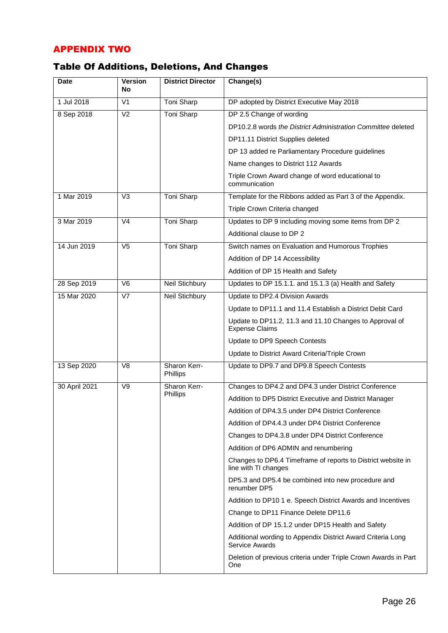#### APPENDIX TWO

## Table Of Additions, Deletions, And Changes

| <b>Date</b>   | <b>Version</b><br>No | <b>District Director</b> | Change(s)                                                                            |
|---------------|----------------------|--------------------------|--------------------------------------------------------------------------------------|
| 1 Jul 2018    | V <sub>1</sub>       | Toni Sharp               | DP adopted by District Executive May 2018                                            |
| 8 Sep 2018    | V <sub>2</sub>       | <b>Toni Sharp</b>        | DP 2.5 Change of wording                                                             |
|               |                      |                          | DP10.2.8 words the District Administration Committee deleted                         |
|               |                      |                          | DP11.11 District Supplies deleted                                                    |
|               |                      |                          | DP 13 added re Parliamentary Procedure guidelines                                    |
|               |                      |                          | Name changes to District 112 Awards                                                  |
|               |                      |                          | Triple Crown Award change of word educational to<br>communication                    |
| 1 Mar 2019    | V <sub>3</sub>       | Toni Sharp               | Template for the Ribbons added as Part 3 of the Appendix.                            |
|               |                      |                          | Triple Crown Criteria changed                                                        |
| 3 Mar 2019    | V <sub>4</sub>       | Toni Sharp               | Updates to DP 9 including moving some items from DP 2                                |
|               |                      |                          | Additional clause to DP 2                                                            |
| 14 Jun 2019   | V <sub>5</sub>       | <b>Toni Sharp</b>        | Switch names on Evaluation and Humorous Trophies                                     |
|               |                      |                          | Addition of DP 14 Accessibility                                                      |
|               |                      |                          | Addition of DP 15 Health and Safety                                                  |
| 28 Sep 2019   | V <sub>6</sub>       | Neil Stichbury           | Updates to DP 15.1.1. and 15.1.3 (a) Health and Safety                               |
| 15 Mar 2020   | V <sub>7</sub>       | <b>Neil Stichbury</b>    | Update to DP2.4 Division Awards                                                      |
|               |                      |                          | Update to DP11.1 and 11.4 Establish a District Debit Card                            |
|               |                      |                          | Update to DP11.2, 11.3 and 11.10 Changes to Approval of<br><b>Expense Claims</b>     |
|               |                      |                          | Update to DP9 Speech Contests                                                        |
|               |                      |                          | Update to District Award Criteria/Triple Crown                                       |
| 13 Sep 2020   | V <sub>8</sub>       | Sharon Kerr-<br>Phillips | Update to DP9.7 and DP9.8 Speech Contests                                            |
| 30 April 2021 | V9                   | Sharon Kerr-             | Changes to DP4.2 and DP4.3 under District Conference                                 |
|               |                      | Phillips                 | Addition to DP5 District Executive and District Manager                              |
|               |                      |                          | Addition of DP4.3.5 under DP4 District Conference                                    |
|               |                      |                          | Addition of DP4.4.3 under DP4 District Conference                                    |
|               |                      |                          | Changes to DP4.3.8 under DP4 District Conference                                     |
|               |                      |                          | Addition of DP6 ADMIN and renumbering                                                |
|               |                      |                          | Changes to DP6.4 Timeframe of reports to District website in<br>line with TI changes |
|               |                      |                          | DP5.3 and DP5.4 be combined into new procedure and<br>renumber DP5                   |
|               |                      |                          | Addition to DP10 1 e. Speech District Awards and Incentives                          |
|               |                      |                          | Change to DP11 Finance Delete DP11.6                                                 |
|               |                      |                          | Addition of DP 15.1.2 under DP15 Health and Safety                                   |
|               |                      |                          | Additional wording to Appendix District Award Criteria Long<br>Service Awards        |
|               |                      |                          | Deletion of previous criteria under Triple Crown Awards in Part<br>One               |